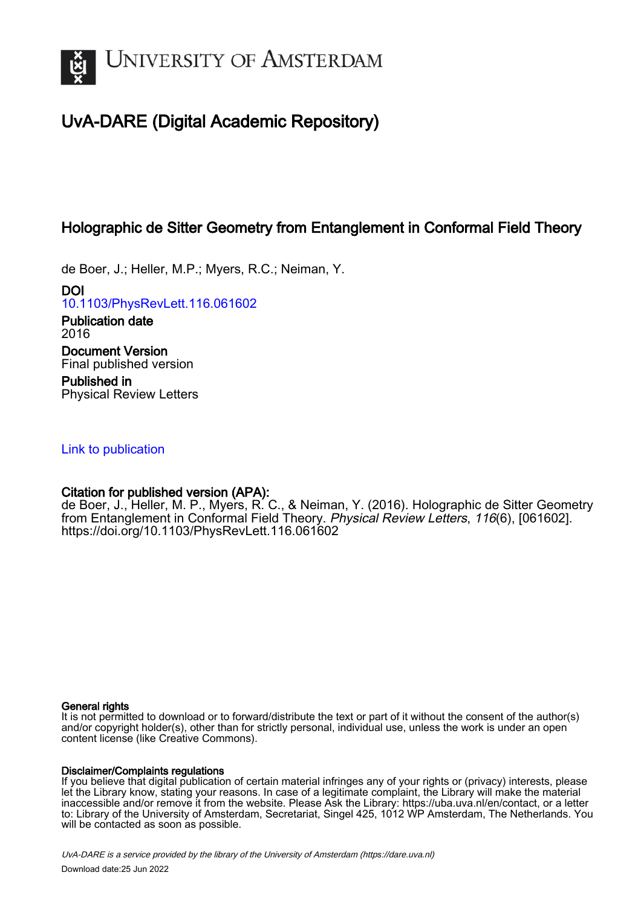

# UvA-DARE (Digital Academic Repository)

## Holographic de Sitter Geometry from Entanglement in Conformal Field Theory

de Boer, J.; Heller, M.P.; Myers, R.C.; Neiman, Y.

DOI [10.1103/PhysRevLett.116.061602](https://doi.org/10.1103/PhysRevLett.116.061602)

Publication date 2016 Document Version Final published version

Published in Physical Review Letters

## [Link to publication](https://dare.uva.nl/personal/pure/en/publications/holographic-de-sitter-geometry-from-entanglement-in-conformal-field-theory(ac113c2d-f75d-40d0-b63e-5ea649d0c39a).html)

## Citation for published version (APA):

de Boer, J., Heller, M. P., Myers, R. C., & Neiman, Y. (2016). Holographic de Sitter Geometry from Entanglement in Conformal Field Theory. Physical Review Letters, 116(6), [061602]. <https://doi.org/10.1103/PhysRevLett.116.061602>

#### General rights

It is not permitted to download or to forward/distribute the text or part of it without the consent of the author(s) and/or copyright holder(s), other than for strictly personal, individual use, unless the work is under an open content license (like Creative Commons).

### Disclaimer/Complaints regulations

If you believe that digital publication of certain material infringes any of your rights or (privacy) interests, please let the Library know, stating your reasons. In case of a legitimate complaint, the Library will make the material inaccessible and/or remove it from the website. Please Ask the Library: https://uba.uva.nl/en/contact, or a letter to: Library of the University of Amsterdam, Secretariat, Singel 425, 1012 WP Amsterdam, The Netherlands. You will be contacted as soon as possible.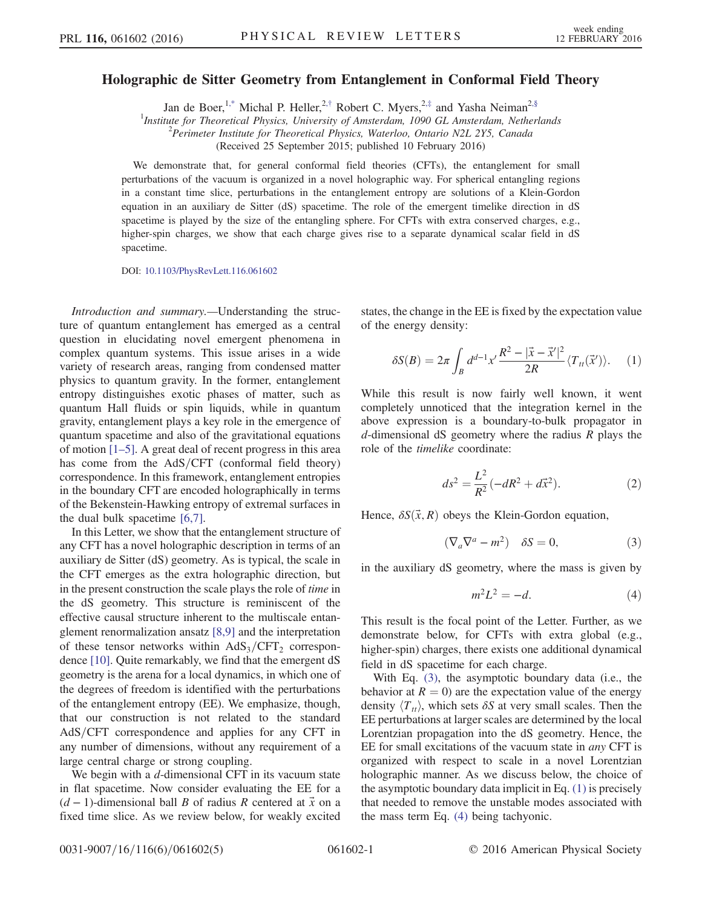#### <span id="page-1-4"></span>Holographic de Sitter Geometry from Entanglement in Conformal Field Theory

Jan de Boer,<sup>1[,\\*](#page-5-0)</sup> Michal P. Heller,<sup>2,[†](#page-5-1)</sup> Robert C. Myers,<sup>2,[‡](#page-5-2)</sup> and Yasha Neiman<sup>[2,§](#page-5-3)</sup>

<sup>1</sup>Institute for Theoretical Physics, University of Amsterdam, 1090 GL Amsterdam, Netherlands<br><sup>2</sup> Parimeter Institute for Theoretical Physics, Waterlee, Ontario N2L 2V5, Canada

 $^{2}$ Perimeter Institute for Theoretical Physics, Waterloo, Ontario N2L 2Y5, Canada

(Received 25 September 2015; published 10 February 2016)

We demonstrate that, for general conformal field theories (CFTs), the entanglement for small perturbations of the vacuum is organized in a novel holographic way. For spherical entangling regions in a constant time slice, perturbations in the entanglement entropy are solutions of a Klein-Gordon equation in an auxiliary de Sitter (dS) spacetime. The role of the emergent timelike direction in dS spacetime is played by the size of the entangling sphere. For CFTs with extra conserved charges, e.g., higher-spin charges, we show that each charge gives rise to a separate dynamical scalar field in dS spacetime.

DOI: [10.1103/PhysRevLett.116.061602](http://dx.doi.org/10.1103/PhysRevLett.116.061602)

Introduction and summary.—Understanding the structure of quantum entanglement has emerged as a central question in elucidating novel emergent phenomena in complex quantum systems. This issue arises in a wide variety of research areas, ranging from condensed matter physics to quantum gravity. In the former, entanglement entropy distinguishes exotic phases of matter, such as quantum Hall fluids or spin liquids, while in quantum gravity, entanglement plays a key role in the emergence of quantum spacetime and also of the gravitational equations of motion [1–[5\].](#page-5-4) A great deal of recent progress in this area has come from the  $AdS/CFT$  (conformal field theory) correspondence. In this framework, entanglement entropies in the boundary CFT are encoded holographically in terms of the Bekenstein-Hawking entropy of extremal surfaces in the dual bulk spacetime [\[6,7\].](#page-5-5)

In this Letter, we show that the entanglement structure of any CFT has a novel holographic description in terms of an auxiliary de Sitter (dS) geometry. As is typical, the scale in the CFT emerges as the extra holographic direction, but in the present construction the scale plays the role of time in the dS geometry. This structure is reminiscent of the effective causal structure inherent to the multiscale entanglement renormalization ansatz [\[8,9\]](#page-5-6) and the interpretation of these tensor networks within  $AdS_3/CFT_2$  correspondence [\[10\].](#page-5-7) Quite remarkably, we find that the emergent dS geometry is the arena for a local dynamics, in which one of the degrees of freedom is identified with the perturbations of the entanglement entropy (EE). We emphasize, though, that our construction is not related to the standard  $AdS/CFT$  correspondence and applies for any CFT in any number of dimensions, without any requirement of a large central charge or strong coupling.

We begin with a  $d$ -dimensional CFT in its vacuum state in flat spacetime. Now consider evaluating the EE for a  $(d-1)$ -dimensional ball B of radius R centered at  $\vec{x}$  on a fixed time slice. As we review below, for weakly excited

<span id="page-1-1"></span>states, the change in the EE is fixed by the expectation value of the energy density:

$$
\delta S(B) = 2\pi \int_B d^{d-1}x' \frac{R^2 - |\vec{x} - \vec{x}'|^2}{2R} \langle T_{tt}(\vec{x}') \rangle. \tag{1}
$$

<span id="page-1-3"></span>While this result is now fairly well known, it went completely unnoticed that the integration kernel in the above expression is a boundary-to-bulk propagator in  $d$ -dimensional dS geometry where the radius  $R$  plays the role of the timelike coordinate:

$$
ds^2 = \frac{L^2}{R^2}(-dR^2 + d\vec{x}^2). \tag{2}
$$

<span id="page-1-0"></span>Hence,  $\delta S(\vec{x}, R)$  obeys the Klein-Gordon equation,

$$
(\nabla_a \nabla^a - m^2) \quad \delta S = 0,\tag{3}
$$

<span id="page-1-2"></span>in the auxiliary dS geometry, where the mass is given by

$$
m^2L^2 = -d.\t\t(4)
$$

This result is the focal point of the Letter. Further, as we demonstrate below, for CFTs with extra global (e.g., higher-spin) charges, there exists one additional dynamical field in dS spacetime for each charge.

With Eq. [\(3\),](#page-1-0) the asymptotic boundary data (i.e., the behavior at  $R = 0$ ) are the expectation value of the energy density  $\langle T_{tt} \rangle$ , which sets  $\delta S$  at very small scales. Then the EE perturbations at larger scales are determined by the local Lorentzian propagation into the dS geometry. Hence, the EE for small excitations of the vacuum state in any CFT is organized with respect to scale in a novel Lorentzian holographic manner. As we discuss below, the choice of the asymptotic boundary data implicit in Eq. [\(1\)](#page-1-1) is precisely that needed to remove the unstable modes associated with the mass term Eq. [\(4\)](#page-1-2) being tachyonic.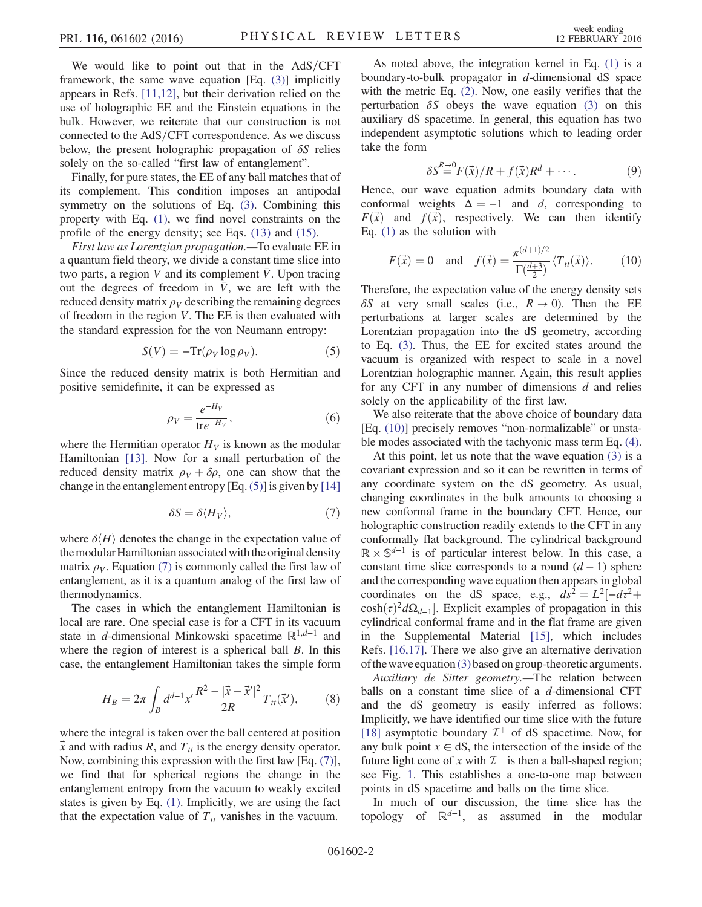We would like to point out that in the AdS/CFT framework, the same wave equation [Eq. [\(3\)\]](#page-1-0) implicitly appears in Refs. [\[11,12\],](#page-5-8) but their derivation relied on the use of holographic EE and the Einstein equations in the bulk. However, we reiterate that our construction is not connected to the AdS/CFT correspondence. As we discuss below, the present holographic propagation of  $\delta S$  relies solely on the so-called "first law of entanglement".

Finally, for pure states, the EE of any ball matches that of its complement. This condition imposes an antipodal symmetry on the solutions of Eq. [\(3\).](#page-1-0) Combining this property with Eq. [\(1\)](#page-1-1), we find novel constraints on the profile of the energy density; see Eqs. [\(13\)](#page-3-0) and [\(15\).](#page-4-0)

First law as Lorentzian propagation.—To evaluate EE in a quantum field theory, we divide a constant time slice into two parts, a region V and its complement  $\overline{V}$ . Upon tracing out the degrees of freedom in  $\bar{V}$ , we are left with the reduced density matrix  $\rho_V$  describing the remaining degrees of freedom in the region V. The EE is then evaluated with the standard expression for the von Neumann entropy:

$$
S(V) = -\text{Tr}(\rho_V \log \rho_V). \tag{5}
$$

<span id="page-2-0"></span>Since the reduced density matrix is both Hermitian and positive semidefinite, it can be expressed as

$$
\rho_V = \frac{e^{-H_V}}{\text{tr}e^{-H_V}},\tag{6}
$$

<span id="page-2-1"></span>where the Hermitian operator  $H_V$  is known as the modular Hamiltonian [\[13\]](#page-5-9). Now for a small perturbation of the reduced density matrix  $\rho_V + \delta\rho$ , one can show that the change in the entanglement entropy [Eq.  $(5)$ ] is given by [\[14\]](#page-5-10)

$$
\delta S = \delta \langle H_V \rangle, \tag{7}
$$

where  $\delta \langle H \rangle$  denotes the change in the expectation value of the modular Hamiltonian associated with the original density matrix  $\rho_V$ . Equation [\(7\)](#page-2-1) is commonly called the first law of entanglement, as it is a quantum analog of the first law of thermodynamics.

<span id="page-2-3"></span>The cases in which the entanglement Hamiltonian is local are rare. One special case is for a CFT in its vacuum state in d-dimensional Minkowski spacetime  $\mathbb{R}^{1,d-1}$  and where the region of interest is a spherical ball  $B$ . In this case, the entanglement Hamiltonian takes the simple form

$$
H_B = 2\pi \int_B d^{d-1}x' \frac{R^2 - |\vec{x} - \vec{x}'|^2}{2R} T_{tt}(\vec{x}'),\tag{8}
$$

where the integral is taken over the ball centered at position  $\vec{x}$  and with radius R, and  $T_{tt}$  is the energy density operator. Now, combining this expression with the first law [Eq. [\(7\)](#page-2-1)], we find that for spherical regions the change in the entanglement entropy from the vacuum to weakly excited states is given by Eq. [\(1\)](#page-1-1). Implicitly, we are using the fact that the expectation value of  $T<sub>tt</sub>$  vanishes in the vacuum.

As noted above, the integration kernel in Eq. [\(1\)](#page-1-1) is a boundary-to-bulk propagator in d-dimensional dS space with the metric Eq. [\(2\)](#page-1-3). Now, one easily verifies that the perturbation  $\delta S$  obeys the wave equation [\(3\)](#page-1-0) on this auxiliary dS spacetime. In general, this equation has two independent asymptotic solutions which to leading order take the form

$$
\delta S^{\mathcal{R}\to 0} F(\vec{x})/R + f(\vec{x})R^d + \cdots. \tag{9}
$$

<span id="page-2-4"></span><span id="page-2-2"></span>Hence, our wave equation admits boundary data with conformal weights  $\Delta = -1$  and d, corresponding to  $F(\vec{x})$  and  $f(\vec{x})$ , respectively. We can then identify Eq. [\(1\)](#page-1-1) as the solution with

$$
F(\vec{x}) = 0 \quad \text{and} \quad f(\vec{x}) = \frac{\pi^{(d+1)/2}}{\Gamma(\frac{d+3}{2})} \langle T_{tt}(\vec{x}) \rangle. \tag{10}
$$

Therefore, the expectation value of the energy density sets  $\delta S$  at very small scales (i.e.,  $R \rightarrow 0$ ). Then the EE perturbations at larger scales are determined by the Lorentzian propagation into the dS geometry, according to Eq. [\(3\).](#page-1-0) Thus, the EE for excited states around the vacuum is organized with respect to scale in a novel Lorentzian holographic manner. Again, this result applies for any CFT in any number of dimensions d and relies solely on the applicability of the first law.

We also reiterate that the above choice of boundary data [Eq. [\(10\)\]](#page-2-2) precisely removes "non-normalizable" or unstable modes associated with the tachyonic mass term Eq. [\(4\)](#page-1-2).

At this point, let us note that the wave equation [\(3\)](#page-1-0) is a covariant expression and so it can be rewritten in terms of any coordinate system on the dS geometry. As usual, changing coordinates in the bulk amounts to choosing a new conformal frame in the boundary CFT. Hence, our holographic construction readily extends to the CFT in any conformally flat background. The cylindrical background  $\mathbb{R} \times \mathbb{S}^{d-1}$  is of particular interest below. In this case, a constant time slice corresponds to a round  $(d - 1)$  sphere and the corresponding wave equation then appears in global coordinates on the dS space, e.g.,  $ds^2 = L^2[-d\tau^2 +$  $cosh(\tau)^2 d\Omega_{d-1}$ . Explicit examples of propagation in this cylindrical conformal frame and in the flat frame are given in the Supplemental Material [\[15\],](#page-5-11) which includes Refs. [\[16,17\]](#page-5-12). There we also give an alternative derivation ofthewave equation[\(3\)](#page-1-0)based on group-theoretic arguments.

Auxiliary de Sitter geometry.—The relation between balls on a constant time slice of a d-dimensional CFT and the dS geometry is easily inferred as follows: Implicitly, we have identified our time slice with the future [\[18\]](#page-5-13) asymptotic boundary  $\mathcal{I}^+$  of dS spacetime. Now, for any bulk point  $x \in dS$ , the intersection of the inside of the future light cone of x with  $\mathcal{I}^+$  is then a ball-shaped region; see Fig. [1](#page-3-1). This establishes a one-to-one map between points in dS spacetime and balls on the time slice.

In much of our discussion, the time slice has the topology of  $\mathbb{R}^{d-1}$ , as assumed in the modular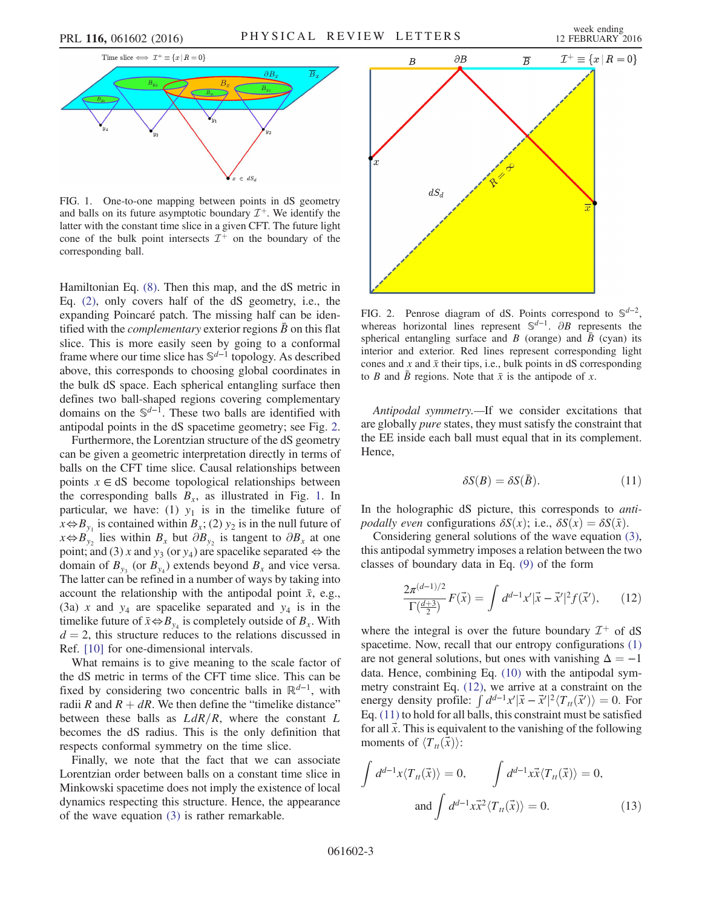<span id="page-3-1"></span>FIG. 1. One-to-one mapping between points in dS geometry and balls on its future asymptotic boundary  $\mathcal{I}^+$ . We identify the latter with the constant time slice in a given CFT. The future light cone of the bulk point intersects  $\mathcal{I}^+$  on the boundary of the corresponding ball.

 $dS<sub>o</sub>$ 

Hamiltonian Eq. [\(8\).](#page-2-3) Then this map, and the dS metric in Eq. [\(2\),](#page-1-3) only covers half of the dS geometry, i.e., the expanding Poincaré patch. The missing half can be identified with the *complementary* exterior regions  $\bar{B}$  on this flat slice. This is more easily seen by going to a conformal frame where our time slice has  $\mathbb{S}^{d-1}$  topology. As described above, this corresponds to choosing global coordinates in the bulk dS space. Each spherical entangling surface then defines two ball-shaped regions covering complementary domains on the  $\mathbb{S}^{d-1}$ . These two balls are identified with antipodal points in the dS spacetime geometry; see Fig. [2](#page-3-2).

Furthermore, the Lorentzian structure of the dS geometry can be given a geometric interpretation directly in terms of balls on the CFT time slice. Causal relationships between points  $x \in dS$  become topological relationships between the corresponding balls  $B_x$ , as illustrated in Fig. [1](#page-3-1). In particular, we have: (1)  $y_1$  is in the timelike future of  $x \Leftrightarrow B_{y_1}$  is contained within  $B_x$ ; (2)  $y_2$  is in the null future of  $x \Leftrightarrow B_{y_2}$  lies within  $B_x$  but  $\partial B_{y_2}$  is tangent to  $\partial B_x$  at one point; and (3) x and y<sub>3</sub> (or y<sub>4</sub>) are spacelike separated  $\Leftrightarrow$  the domain of  $B_{y_3}$  (or  $B_{y_4}$ ) extends beyond  $B_x$  and vice versa. The latter can be refined in a number of ways by taking into account the relationship with the antipodal point  $\bar{x}$ , e.g., (3a) x and  $y_4$  are spacelike separated and  $y_4$  is in the timelike future of  $\bar{x} \Leftrightarrow B_{y_4}$  is completely outside of  $B_x$ . With  $d = 2$ , this structure reduces to the relations discussed in Ref. [\[10\]](#page-5-7) for one-dimensional intervals.

What remains is to give meaning to the scale factor of the dS metric in terms of the CFT time slice. This can be fixed by considering two concentric balls in  $\mathbb{R}^{d-1}$ , with radii R and  $R + dR$ . We then define the "timelike distance" between these balls as  $L dR/R$ , where the constant L becomes the dS radius. This is the only definition that respects conformal symmetry on the time slice.

Finally, we note that the fact that we can associate Lorentzian order between balls on a constant time slice in Minkowski spacetime does not imply the existence of local dynamics respecting this structure. Hence, the appearance of the wave equation [\(3\)](#page-1-0) is rather remarkable.

<span id="page-3-2"></span>

FIG. 2. Penrose diagram of dS. Points correspond to  $\mathbb{S}^{d-2}$ , whereas horizontal lines represent  $\mathbb{S}^{d-1}$ . ∂B represents the spherical entangling surface and B (orange) and  $\bar{B}$  (cyan) its interior and exterior. Red lines represent corresponding light cones and  $x$  and  $\bar{x}$  their tips, i.e., bulk points in dS corresponding to B and  $\bar{B}$  regions. Note that  $\bar{x}$  is the antipode of x.

<span id="page-3-4"></span>Antipodal symmetry.—If we consider excitations that are globally pure states, they must satisfy the constraint that the EE inside each ball must equal that in its complement. Hence,

$$
\delta S(B) = \delta S(\bar{B}).\tag{11}
$$

In the holographic dS picture, this corresponds to antipodally even configurations  $\delta S(x)$ ; i.e.,  $\delta S(x) = \delta S(\bar{x})$ .

<span id="page-3-3"></span>Considering general solutions of the wave equation [\(3\)](#page-1-0), this antipodal symmetry imposes a relation between the two classes of boundary data in Eq. [\(9\)](#page-2-4) of the form

$$
\frac{2\pi^{(d-1)/2}}{\Gamma(\frac{d+3}{2})}F(\vec{x}) = \int d^{d-1}x' |\vec{x} - \vec{x}'|^2 f(\vec{x}'), \qquad (12)
$$

where the integral is over the future boundary  $\mathcal{I}^+$  of dS spacetime. Now, recall that our entropy configurations [\(1\)](#page-1-1) are not general solutions, but ones with vanishing  $\Delta = -1$ data. Hence, combining Eq. [\(10\)](#page-2-2) with the antipodal symmetry constraint Eq. [\(12\),](#page-3-3) we arrive at a constraint on the energy density profile:  $\int d^{d-1}x' |\vec{x} - \vec{x}'|^2 \langle T_u(\vec{x}') \rangle = 0$ . For Eq. [\(11\)](#page-3-4) to hold for all balls, this constraint must be satisfied for all  $\vec{x}$ . This is equivalent to the vanishing of the following moments of  $\langle T_{tt}(\vec{x})\rangle$ :

<span id="page-3-0"></span>
$$
\int d^{d-1}x \langle T_{tt}(\vec{x}) \rangle = 0, \qquad \int d^{d-1}x \vec{x} \langle T_{tt}(\vec{x}) \rangle = 0,
$$
  
and 
$$
\int d^{d-1}x \vec{x}^2 \langle T_{tt}(\vec{x}) \rangle = 0.
$$
 (13)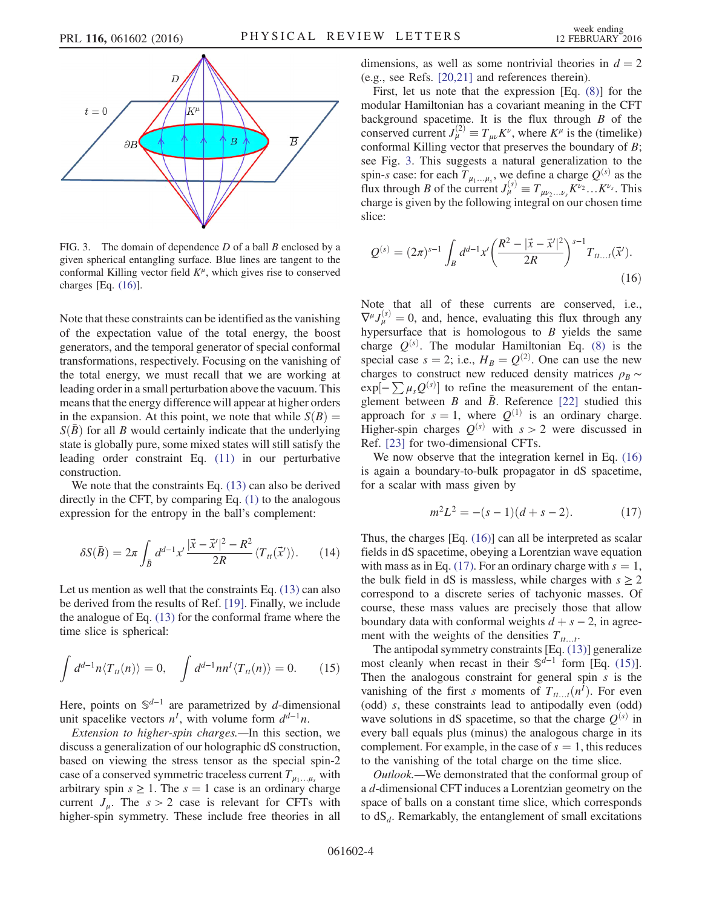<span id="page-4-1"></span>

FIG. 3. The domain of dependence  $D$  of a ball  $B$  enclosed by a given spherical entangling surface. Blue lines are tangent to the conformal Killing vector field  $K^{\mu}$ , which gives rise to conserved charges [Eq. [\(16\)\]](#page-4-2).

Note that these constraints can be identified as the vanishing of the expectation value of the total energy, the boost generators, and the temporal generator of special conformal transformations, respectively. Focusing on the vanishing of the total energy, we must recall that we are working at leading order in a small perturbation above the vacuum. This means that the energy difference will appear at higher orders in the expansion. At this point, we note that while  $S(B) =$  $S(B)$  for all B would certainly indicate that the underlying state is globally pure, some mixed states will still satisfy the leading order constraint Eq. [\(11\)](#page-3-4) in our perturbative construction.

We note that the constraints Eq.  $(13)$  can also be derived directly in the CFT, by comparing Eq. [\(1\)](#page-1-1) to the analogous expression for the entropy in the ball's complement:

$$
\delta S(\bar{B}) = 2\pi \int_{\bar{B}} d^{d-1}x' \frac{|\vec{x} - \vec{x}'|^2 - R^2}{2R} \langle T_{tt}(\vec{x}') \rangle. \tag{14}
$$

<span id="page-4-0"></span>Let us mention as well that the constraints Eq. [\(13\)](#page-3-0) can also be derived from the results of Ref. [\[19\].](#page-5-14) Finally, we include the analogue of Eq. [\(13\)](#page-3-0) for the conformal frame where the time slice is spherical:

$$
\int d^{d-1}n \langle T_{tt}(n) \rangle = 0, \quad \int d^{d-1}nn^{t} \langle T_{tt}(n) \rangle = 0. \quad (15)
$$

Here, points on  $\mathbb{S}^{d-1}$  are parametrized by d-dimensional unit spacelike vectors  $n<sup>I</sup>$ , with volume form  $d<sup>d-1</sup>n$ .

Extension to higher-spin charges.—In this section, we discuss a generalization of our holographic dS construction, based on viewing the stress tensor as the special spin-2 case of a conserved symmetric traceless current  $T_{\mu_1...\mu_s}$  with arbitrary spin  $s \geq 1$ . The  $s = 1$  case is an ordinary charge current  $J_{\mu}$ . The  $s > 2$  case is relevant for CFTs with higher-spin symmetry. These include free theories in all dimensions, as well as some nontrivial theories in  $d = 2$ (e.g., see Refs. [\[20,21\]](#page-5-15) and references therein).

First, let us note that the expression [Eq. [\(8\)\]](#page-2-3) for the modular Hamiltonian has a covariant meaning in the CFT background spacetime. It is the flux through  $B$  of the conserved current  $J_{\mu}^{(2)} \equiv T_{\mu\nu} K^{\nu}$ , where  $K^{\mu}$  is the (timelike) conformal Killing vector that preserves the boundary of B; see Fig. [3](#page-4-1). This suggests a natural generalization to the spin-s case: for each  $T_{\mu_1...\mu_s}$ , we define a charge  $Q^{(s)}$  as the flux through B of the current  $J_{\mu}^{(s)} \equiv T_{\mu\nu_2... \nu_s} K^{\nu_2}... K^{\nu_s}$ . This charge is given by the following integral on our chosen time slice:

<span id="page-4-2"></span>
$$
Q^{(s)} = (2\pi)^{s-1} \int_B d^{d-1}x' \left(\frac{R^2 - |\vec{x} - \vec{x}'|^2}{2R}\right)^{s-1} T_{tt...t}(\vec{x}').
$$
\n(16)

Note that all of these currents are conserved, i.e.,  $\nabla^{\mu}J_{\mu}^{(s)}=0$ , and, hence, evaluating this flux through any hypersurface that is homologous to  $B$  yields the same charge  $Q^{(s)}$ . The modular Hamiltonian Eq. [\(8\)](#page-2-3) is the special case  $s = 2$ ; i.e.,  $H_B = Q^{(2)}$ . One can use the new charges to construct new reduced density matrices  $\rho_B \sim$  $\exp[-\sum \mu_s Q^{(s)}]$  to refine the measurement of the entanglement between  $\vec{B}$  and  $\vec{B}$ . Reference [\[22\]](#page-5-16) studied this approach for  $s = 1$ , where  $Q^{(1)}$  is an ordinary charge. Higher-spin charges  $Q^{(s)}$  with  $s > 2$  were discussed in Ref. [\[23\]](#page-5-17) for two-dimensional CFTs.

<span id="page-4-3"></span>We now observe that the integration kernel in Eq.  $(16)$ is again a boundary-to-bulk propagator in dS spacetime, for a scalar with mass given by

$$
m^2L^2 = -(s-1)(d+s-2). \tag{17}
$$

Thus, the charges [Eq. [\(16\)](#page-4-2)] can all be interpreted as scalar fields in dS spacetime, obeying a Lorentzian wave equation with mass as in Eq. [\(17\)](#page-4-3). For an ordinary charge with  $s = 1$ , the bulk field in dS is massless, while charges with  $s \geq 2$ correspond to a discrete series of tachyonic masses. Of course, these mass values are precisely those that allow boundary data with conformal weights  $d + s - 2$ , in agreement with the weights of the densities  $T_{tt...t}$ .

The antipodal symmetry constraints [Eq. [\(13\)](#page-3-0)] generalize most cleanly when recast in their  $\mathbb{S}^{d-1}$  form [Eq. [\(15\)](#page-4-0)]. Then the analogous constraint for general spin  $s$  is the vanishing of the first s moments of  $T_{tt...t}(n^{\tilde{l}})$ . For even (odd) s, these constraints lead to antipodally even (odd) wave solutions in dS spacetime, so that the charge  $Q^{(s)}$  in every ball equals plus (minus) the analogous charge in its complement. For example, in the case of  $s = 1$ , this reduces to the vanishing of the total charge on the time slice.

Outlook.—We demonstrated that the conformal group of a d-dimensional CFT induces a Lorentzian geometry on the space of balls on a constant time slice, which corresponds to  $dS_d$ . Remarkably, the entanglement of small excitations